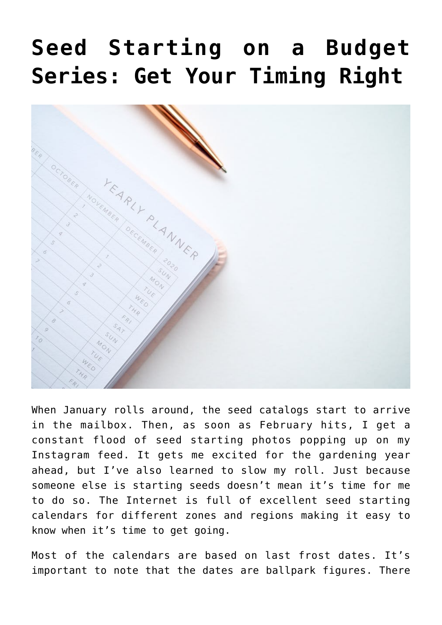## **[Seed Starting on a Budget](https://www.frugalgardening.com/seed-starting-on-a-budget-series-get-your-timing-right.html) [Series: Get Your Timing Right](https://www.frugalgardening.com/seed-starting-on-a-budget-series-get-your-timing-right.html)**



When January rolls around, the seed catalogs start to arrive in the mailbox. Then, as soon as February hits, I get a constant flood of seed starting photos popping up on my Instagram feed. It gets me excited for the gardening year ahead, but I've also learned to slow my roll. Just because someone else is starting seeds doesn't mean it's time for me to do so. The Internet is full of excellent seed starting calendars for different zones and regions making it easy to know when it's time to get going.

Most of the calendars are based on last frost dates. It's important to note that the dates are ballpark figures. There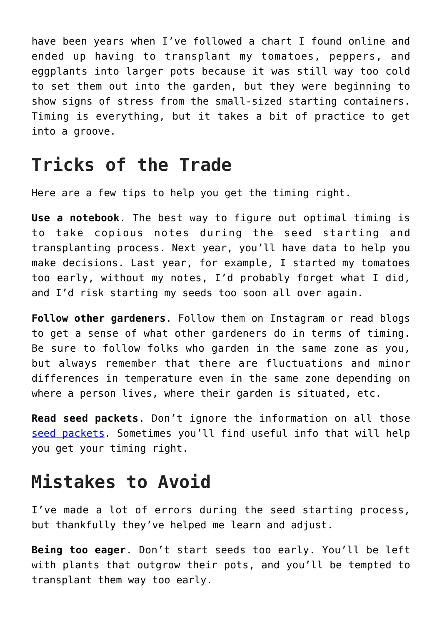have been years when I've followed a chart I found online and ended up having to transplant my tomatoes, peppers, and eggplants into larger pots because it was still way too cold to set them out into the garden, but they were beginning to show signs of stress from the small-sized starting containers. Timing is everything, but it takes a bit of practice to get into a groove.

## **Tricks of the Trade**

Here are a few tips to help you get the timing right.

**Use a notebook**. The best way to figure out optimal timing is to take copious notes during the seed starting and transplanting process. Next year, you'll have data to help you make decisions. Last year, for example, I started my tomatoes too early, without my notes, I'd probably forget what I did, and I'd risk starting my seeds too soon all over again.

**Follow other gardeners**. Follow them on Instagram or read blogs to get a sense of what other gardeners do in terms of timing. Be sure to follow folks who garden in the same zone as you, but always remember that there are fluctuations and minor differences in temperature even in the same zone depending on where a person lives, where their garden is situated, etc.

**Read seed packets**. Don't ignore the information on all those [seed packets](https://www.frugalgardening.com/dont-throw-out-those-seed-catalogs.html). Sometimes you'll find useful info that will help you get your timing right.

## **Mistakes to Avoid**

I've made a lot of errors during the seed starting process, but thankfully they've helped me learn and adjust.

**Being too eager**. Don't start seeds too early. You'll be left with plants that outgrow their pots, and you'll be tempted to transplant them way too early.